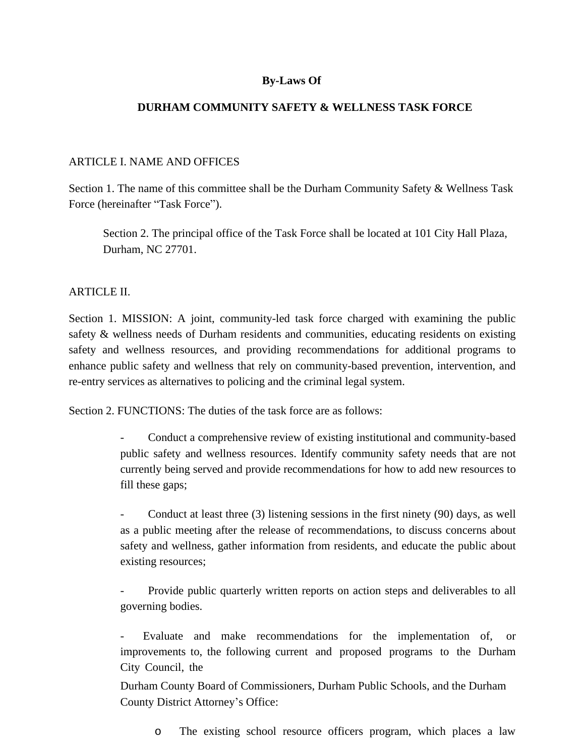# **By-Laws Of**

## **DURHAM COMMUNITY SAFETY & WELLNESS TASK FORCE**

#### ARTICLE I. NAME AND OFFICES

Section 1. The name of this committee shall be the Durham Community Safety & Wellness Task Force (hereinafter "Task Force").

Section 2. The principal office of the Task Force shall be located at 101 City Hall Plaza, Durham, NC 27701.

### ARTICLE II.

Section 1. MISSION: A joint, community-led task force charged with examining the public safety & wellness needs of Durham residents and communities, educating residents on existing safety and wellness resources, and providing recommendations for additional programs to enhance public safety and wellness that rely on community-based prevention, intervention, and re-entry services as alternatives to policing and the criminal legal system.

Section 2. FUNCTIONS: The duties of the task force are as follows:

- Conduct a comprehensive review of existing institutional and community-based public safety and wellness resources. Identify community safety needs that are not currently being served and provide recommendations for how to add new resources to fill these gaps;

Conduct at least three (3) listening sessions in the first ninety (90) days, as well as a public meeting after the release of recommendations, to discuss concerns about safety and wellness, gather information from residents, and educate the public about existing resources;

Provide public quarterly written reports on action steps and deliverables to all governing bodies.

Evaluate and make recommendations for the implementation of, or improvements to, the following current and proposed programs to the Durham City Council, the

Durham County Board of Commissioners, Durham Public Schools, and the Durham County District Attorney's Office:

o The existing school resource officers program, which places a law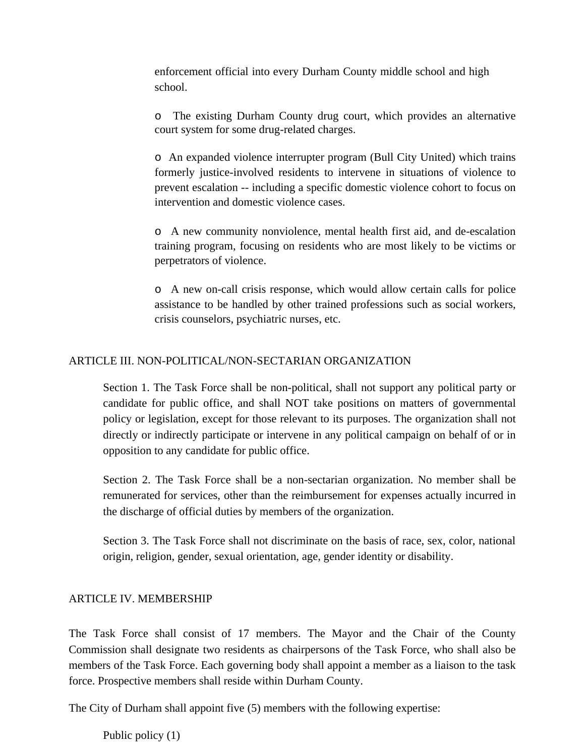enforcement official into every Durham County middle school and high school.

o The existing Durham County drug court, which provides an alternative court system for some drug-related charges.

o An expanded violence interrupter program (Bull City United) which trains formerly justice-involved residents to intervene in situations of violence to prevent escalation -- including a specific domestic violence cohort to focus on intervention and domestic violence cases.

o A new community nonviolence, mental health first aid, and de-escalation training program, focusing on residents who are most likely to be victims or perpetrators of violence.

o A new on-call crisis response, which would allow certain calls for police assistance to be handled by other trained professions such as social workers, crisis counselors, psychiatric nurses, etc.

### ARTICLE III. NON-POLITICAL/NON-SECTARIAN ORGANIZATION

Section 1. The Task Force shall be non-political, shall not support any political party or candidate for public office, and shall NOT take positions on matters of governmental policy or legislation, except for those relevant to its purposes. The organization shall not directly or indirectly participate or intervene in any political campaign on behalf of or in opposition to any candidate for public office.

Section 2. The Task Force shall be a non-sectarian organization. No member shall be remunerated for services, other than the reimbursement for expenses actually incurred in the discharge of official duties by members of the organization.

Section 3. The Task Force shall not discriminate on the basis of race, sex, color, national origin, religion, gender, sexual orientation, age, gender identity or disability.

#### ARTICLE IV. MEMBERSHIP

The Task Force shall consist of 17 members. The Mayor and the Chair of the County Commission shall designate two residents as chairpersons of the Task Force, who shall also be members of the Task Force. Each governing body shall appoint a member as a liaison to the task force. Prospective members shall reside within Durham County.

The City of Durham shall appoint five (5) members with the following expertise:

Public policy (1)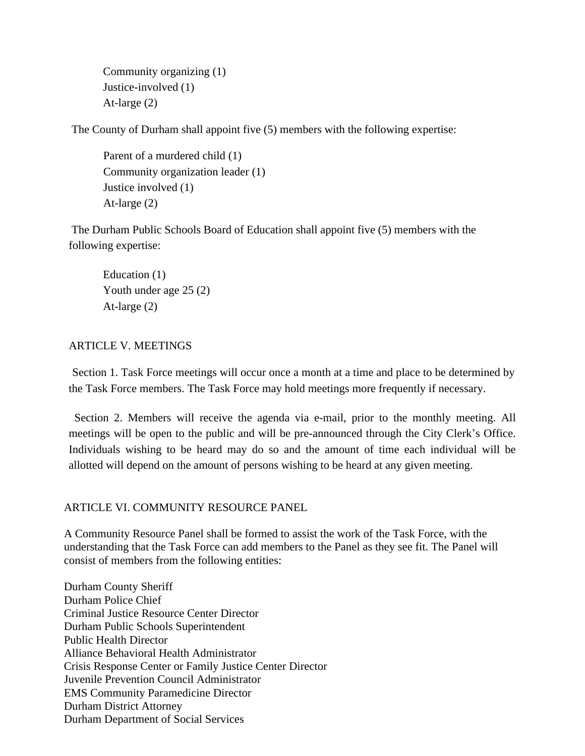```
Community organizing (1)
Justice-involved (1)
At-large (2)
```
The County of Durham shall appoint five (5) members with the following expertise:

Parent of a murdered child (1) Community organization leader (1) Justice involved (1) At-large (2)

The Durham Public Schools Board of Education shall appoint five (5) members with the following expertise:

Education (1) Youth under age 25 (2) At-large (2)

### ARTICLE V. MEETINGS

Section 1. Task Force meetings will occur once a month at a time and place to be determined by the Task Force members. The Task Force may hold meetings more frequently if necessary.

Section 2. Members will receive the agenda via e-mail, prior to the monthly meeting. All meetings will be open to the public and will be pre-announced through the City Clerk's Office. Individuals wishing to be heard may do so and the amount of time each individual will be allotted will depend on the amount of persons wishing to be heard at any given meeting.

### ARTICLE VI. COMMUNITY RESOURCE PANEL

A Community Resource Panel shall be formed to assist the work of the Task Force, with the understanding that the Task Force can add members to the Panel as they see fit. The Panel will consist of members from the following entities:

Durham County Sheriff Durham Police Chief Criminal Justice Resource Center Director Durham Public Schools Superintendent Public Health Director Alliance Behavioral Health Administrator Crisis Response Center or Family Justice Center Director Juvenile Prevention Council Administrator EMS Community Paramedicine Director Durham District Attorney Durham Department of Social Services